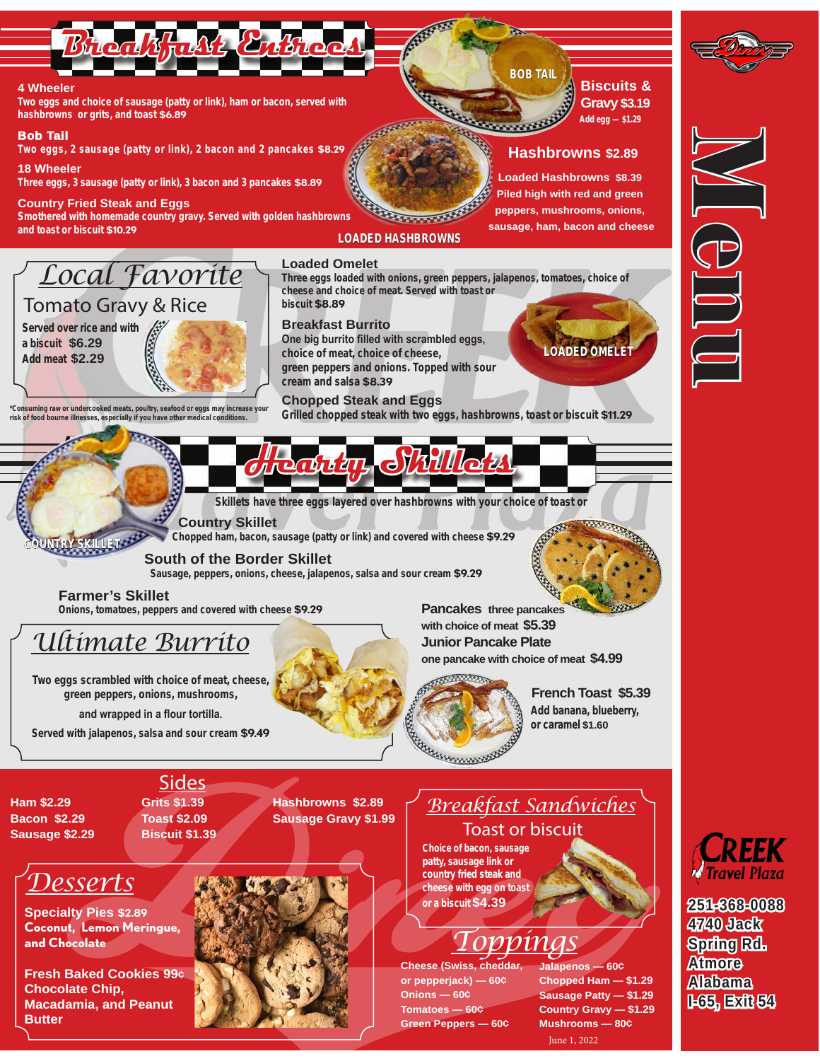

**Coconut, Lemon Meringue, and Chocolate** 

**Fresh Baked Cookies 99¢ Chocolate Chip, Macadamia, and Peanut Butter**



## *Toppings*

**Cheese (Swiss, cheddar, or pepperjack) — 60¢ Onions — 60¢ Tomatoes — 60¢ Green Peppers — 60¢**

**Jalapenos — 60¢ Chopped Ham — \$1.29 Sausage Patty — \$1.29 Country Gravy — \$1.29 Mushrooms — 80¢** June 1, 2022



**251-368-0088 4740 Jack Spring Rd. Atmore Alabama I-65, Exit 54**